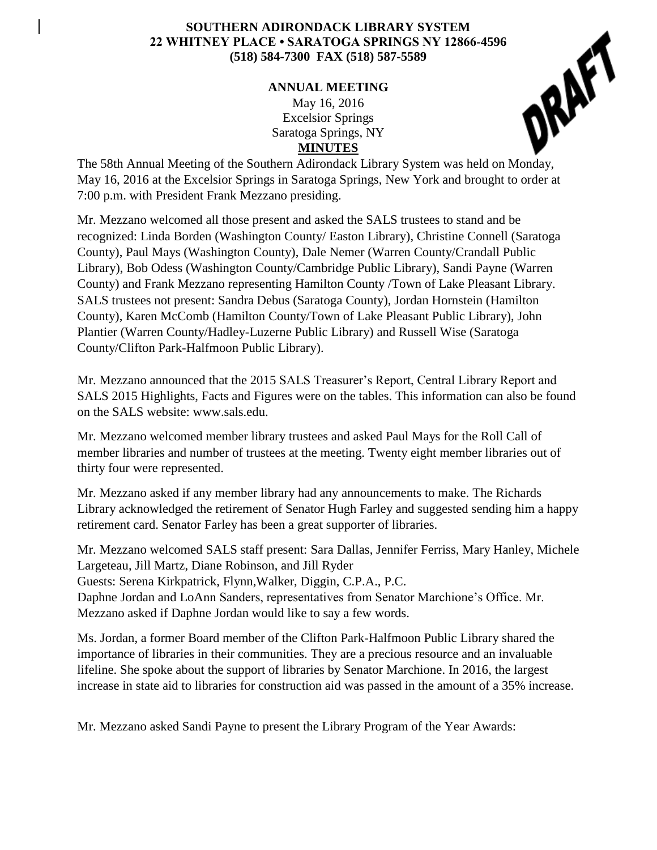## **SOUTHERN ADIRONDACK LIBRARY SYSTEM 22 WHITNEY PLACE • SARATOGA SPRINGS NY 12866-4596 (518) 584-7300 FAX (518) 587-5589**

## **ANNUAL MEETING**

May 16, 2016 Excelsior Springs Saratoga Springs, NY **MINUTES**



May 16, 2016 at the Excelsior Springs in Saratoga Springs, New York and brought to order at 7:00 p.m. with President Frank Mezzano presiding.

Mr. Mezzano welcomed all those present and asked the SALS trustees to stand and be recognized: Linda Borden (Washington County/ Easton Library), Christine Connell (Saratoga County), Paul Mays (Washington County), Dale Nemer (Warren County/Crandall Public Library), Bob Odess (Washington County/Cambridge Public Library), Sandi Payne (Warren County) and Frank Mezzano representing Hamilton County /Town of Lake Pleasant Library. SALS trustees not present: Sandra Debus (Saratoga County), Jordan Hornstein (Hamilton County), Karen McComb (Hamilton County/Town of Lake Pleasant Public Library), John Plantier (Warren County/Hadley-Luzerne Public Library) and Russell Wise (Saratoga County/Clifton Park-Halfmoon Public Library).

Mr. Mezzano announced that the 2015 SALS Treasurer's Report, Central Library Report and SALS 2015 Highlights, Facts and Figures were on the tables. This information can also be found on the SALS website: www.sals.edu.

Mr. Mezzano welcomed member library trustees and asked Paul Mays for the Roll Call of member libraries and number of trustees at the meeting. Twenty eight member libraries out of thirty four were represented.

Mr. Mezzano asked if any member library had any announcements to make. The Richards Library acknowledged the retirement of Senator Hugh Farley and suggested sending him a happy retirement card. Senator Farley has been a great supporter of libraries.

Mr. Mezzano welcomed SALS staff present: Sara Dallas, Jennifer Ferriss, Mary Hanley, Michele Largeteau, Jill Martz, Diane Robinson, and Jill Ryder Guests: Serena Kirkpatrick, Flynn,Walker, Diggin, C.P.A., P.C. Daphne Jordan and LoAnn Sanders, representatives from Senator Marchione's Office. Mr. Mezzano asked if Daphne Jordan would like to say a few words.

Ms. Jordan, a former Board member of the Clifton Park-Halfmoon Public Library shared the importance of libraries in their communities. They are a precious resource and an invaluable lifeline. She spoke about the support of libraries by Senator Marchione. In 2016, the largest increase in state aid to libraries for construction aid was passed in the amount of a 35% increase.

Mr. Mezzano asked Sandi Payne to present the Library Program of the Year Awards: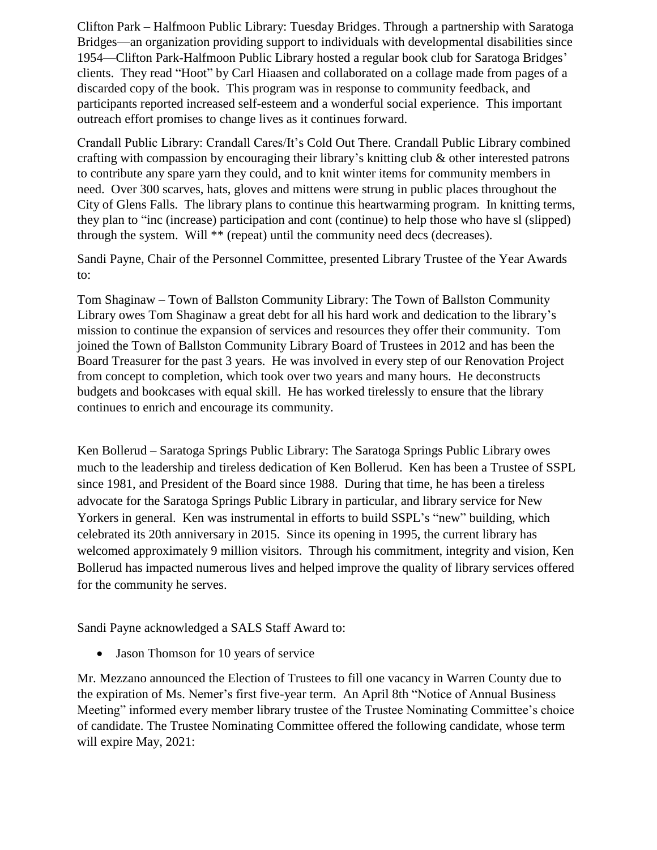Clifton Park – Halfmoon Public Library: Tuesday Bridges. Through a partnership with Saratoga Bridges—an organization providing support to individuals with developmental disabilities since 1954—Clifton Park-Halfmoon Public Library hosted a regular book club for Saratoga Bridges' clients. They read "Hoot" by Carl Hiaasen and collaborated on a collage made from pages of a discarded copy of the book. This program was in response to community feedback, and participants reported increased self-esteem and a wonderful social experience. This important outreach effort promises to change lives as it continues forward.

Crandall Public Library: Crandall Cares/It's Cold Out There. Crandall Public Library combined crafting with compassion by encouraging their library's knitting club & other interested patrons to contribute any spare yarn they could, and to knit winter items for community members in need. Over 300 scarves, hats, gloves and mittens were strung in public places throughout the City of Glens Falls. The library plans to continue this heartwarming program. In knitting terms, they plan to "inc (increase) participation and cont (continue) to help those who have sl (slipped) through the system. Will \*\* (repeat) until the community need decs (decreases).

Sandi Payne, Chair of the Personnel Committee, presented Library Trustee of the Year Awards to:

Tom Shaginaw – Town of Ballston Community Library: The Town of Ballston Community Library owes Tom Shaginaw a great debt for all his hard work and dedication to the library's mission to continue the expansion of services and resources they offer their community. Tom joined the Town of Ballston Community Library Board of Trustees in 2012 and has been the Board Treasurer for the past 3 years. He was involved in every step of our Renovation Project from concept to completion, which took over two years and many hours. He deconstructs budgets and bookcases with equal skill. He has worked tirelessly to ensure that the library continues to enrich and encourage its community.

Ken Bollerud – Saratoga Springs Public Library: The Saratoga Springs Public Library owes much to the leadership and tireless dedication of Ken Bollerud. Ken has been a Trustee of SSPL since 1981, and President of the Board since 1988. During that time, he has been a tireless advocate for the Saratoga Springs Public Library in particular, and library service for New Yorkers in general. Ken was instrumental in efforts to build SSPL's "new" building, which celebrated its 20th anniversary in 2015. Since its opening in 1995, the current library has welcomed approximately 9 million visitors. Through his commitment, integrity and vision, Ken Bollerud has impacted numerous lives and helped improve the quality of library services offered for the community he serves.

Sandi Payne acknowledged a SALS Staff Award to:

• Jason Thomson for 10 years of service

Mr. Mezzano announced the Election of Trustees to fill one vacancy in Warren County due to the expiration of Ms. Nemer's first five-year term. An April 8th "Notice of Annual Business Meeting" informed every member library trustee of the Trustee Nominating Committee's choice of candidate. The Trustee Nominating Committee offered the following candidate, whose term will expire May, 2021: